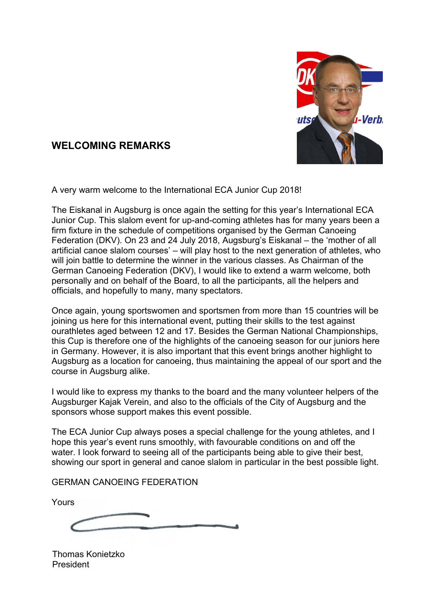

# **WELCOMING REMARKS**

A very warm welcome to the International ECA Junior Cup 2018!

The Eiskanal in Augsburg is once again the setting for this year's International ECA Junior Cup. This slalom event for up-and-coming athletes has for many years been a firm fixture in the schedule of competitions organised by the German Canoeing Federation (DKV). On 23 and 24 July 2018, Augsburg's Eiskanal – the 'mother of all artificial canoe slalom courses' – will play host to the next generation of athletes, who will join battle to determine the winner in the various classes. As Chairman of the German Canoeing Federation (DKV), I would like to extend a warm welcome, both personally and on behalf of the Board, to all the participants, all the helpers and officials, and hopefully to many, many spectators.

Once again, young sportswomen and sportsmen from more than 15 countries will be joining us here for this international event, putting their skills to the test against ourathletes aged between 12 and 17. Besides the German National Championships, this Cup is therefore one of the highlights of the canoeing season for our juniors here in Germany. However, it is also important that this event brings another highlight to Augsburg as a location for canoeing, thus maintaining the appeal of our sport and the course in Augsburg alike.

I would like to express my thanks to the board and the many volunteer helpers of the Augsburger Kajak Verein, and also to the officials of the City of Augsburg and the sponsors whose support makes this event possible.

The ECA Junior Cup always poses a special challenge for the young athletes, and I hope this year's event runs smoothly, with favourable conditions on and off the water. I look forward to seeing all of the participants being able to give their best, showing our sport in general and canoe slalom in particular in the best possible light.

GERMAN CANOEING FEDERATION

Yours

 Thomas Konietzko President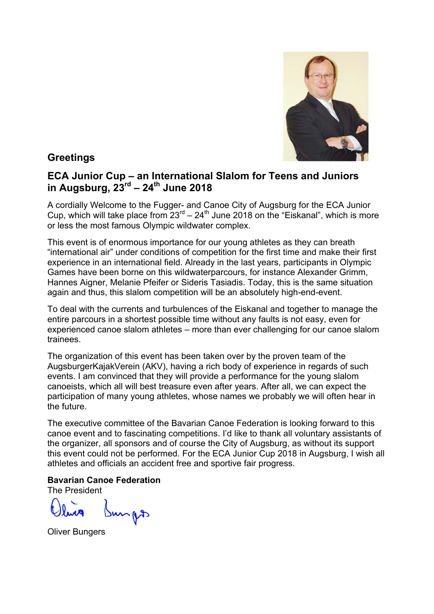

**Greetings** 

## **ECA Junior Cup – an International Slalom for Teens and Juniors in Augsburg, 23rd – 24th June 2018**

A cordially Welcome to the Fugger- and Canoe City of Augsburg for the ECA Junior Cup, which will take place from 23rd – 24th June 2018 on the "Eiskanal", which is more or less the most famous Olympic wildwater complex.

This event is of enormous importance for our young athletes as they can breath "international air" under conditions of competition for the first time and make their first experience in an international field. Already in the last years, participants in Olympic Games have been borne on this wildwaterparcours, for instance Alexander Grimm, Hannes Aigner, Melanie Pfeifer or Sideris Tasiadis. Today, this is the same situation again and thus, this slalom competition will be an absolutely high-end-event.

To deal with the currents and turbulences of the Eiskanal and together to manage the entire parcours in a shortest possible time without any faults is not easy, even for experienced canoe slalom athletes – more than ever challenging for our canoe slalom trainees.

The organization of this event has been taken over by the proven team of the AugsburgerKajakVerein (AKV), having a rich body of experience in regards of such events. I am convinced that they will provide a performance for the young slalom canoeists, which all will best treasure even after years. After all, we can expect the participation of many young athletes, whose names we probably we will often hear in the future.

The executive committee of the Bavarian Canoe Federation is looking forward to this canoe event and to fascinating competitions. I'd like to thank all voluntary assistants of the organizer, all sponsors and of course the City of Augsburg, as without its support this event could not be performed. For the ECA Junior Cup 2018 in Augsburg, I wish all athletes and officials an accident free and sportive fair progress.

#### **Bavarian Canoe Federation**

The President

mps

Oliver Bungers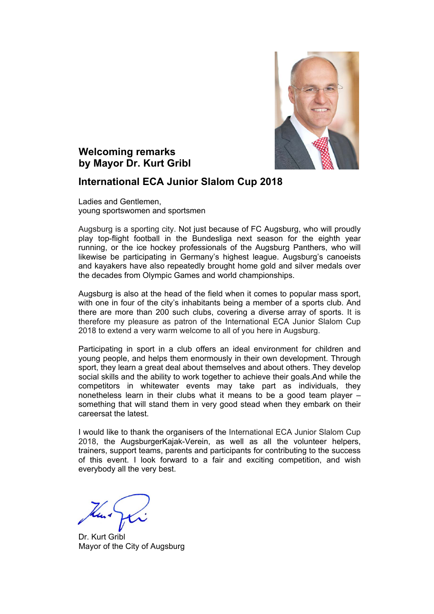

## **Welcoming remarks by Mayor Dr. Kurt Gribl**

### **International ECA Junior Slalom Cup 2018**

Ladies and Gentlemen, young sportswomen and sportsmen

Augsburg is a sporting city. Not just because of FC Augsburg, who will proudly play top-flight football in the Bundesliga next season for the eighth year running, or the ice hockey professionals of the Augsburg Panthers, who will likewise be participating in Germany's highest league. Augsburg's canoeists and kayakers have also repeatedly brought home gold and silver medals over the decades from Olympic Games and world championships.

Augsburg is also at the head of the field when it comes to popular mass sport, with one in four of the city's inhabitants being a member of a sports club. And there are more than 200 such clubs, covering a diverse array of sports. It is therefore my pleasure as patron of the International ECA Junior Slalom Cup 2018 to extend a very warm welcome to all of you here in Augsburg.

Participating in sport in a club offers an ideal environment for children and young people, and helps them enormously in their own development. Through sport, they learn a great deal about themselves and about others. They develop social skills and the ability to work together to achieve their goals.And while the competitors in whitewater events may take part as individuals, they nonetheless learn in their clubs what it means to be a good team player – something that will stand them in very good stead when they embark on their careersat the latest.

I would like to thank the organisers of the International ECA Junior Slalom Cup 2018, the AugsburgerKajak-Verein, as well as all the volunteer helpers, trainers, support teams, parents and participants for contributing to the success of this event. I look forward to a fair and exciting competition, and wish everybody all the very best.

 Dr. Kurt Gribl Mayor of the City of Augsburg